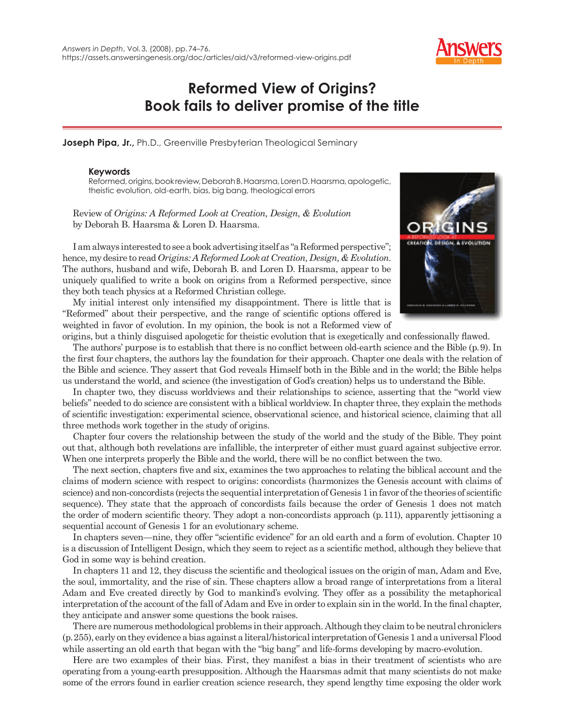

## **Reformed View of Origins? Book fails to deliver promise of the title**

**Joseph Pipa, Jr.,** Ph.D., Greenville Presbyterian Theological Seminary

## **Keywords**

Reformed, origins, book review, Deborah B. Haarsma, Loren D. Haarsma, apologetic, theistic evolution, old-earth, bias, big bang, theological errors

Review of *Origins: A Reformed Look at Creation, Design, & Evolution* by Deborah B. Haarsma & Loren D. Haarsma.

I am always interested to see a book advertising itself as "a Reformed perspective"; hence, my desire to read *Origins: A Reformed Look at Creation, Design, & Evolution*. The authors, husband and wife, Deborah B. and Loren D. Haarsma, appear to be uniquely qualified to write a book on origins from a Reformed perspective, since they both teach physics at a Reformed Christian college.

My initial interest only intensified my disappointment. There is little that is "Reformed" about their perspective, and the range of scientific options offered is weighted in favor of evolution. In my opinion, the book is not a Reformed view of



origins, but a thinly disguised apologetic for theistic evolution that is exegetically and confessionally flawed. The authors' purpose is to establish that there is no conflict between old-earth science and the Bible (p.9). In the first four chapters, the authors lay the foundation for their approach. Chapter one deals with the relation of the Bible and science. They assert that God reveals Himself both in the Bible and in the world; the Bible helps us understand the world, and science (the investigation of God's creation) helps us to understand the Bible.

In chapter two, they discuss worldviews and their relationships to science, asserting that the "world view beliefs" needed to do science are consistent with a biblical worldview. In chapter three, they explain the methods of scientific investigation: experimental science, observational science, and historical science, claiming that all three methods work together in the study of origins.

Chapter four covers the relationship between the study of the world and the study of the Bible. They point out that, although both revelations are infallible, the interpreter of either must guard against subjective error. When one interprets properly the Bible and the world, there will be no conflict between the two.

The next section, chapters five and six, examines the two approaches to relating the biblical account and the claims of modern science with respect to origins: concordists (harmonizes the Genesis account with claims of science) and non-concordists (rejects the sequential interpretation of Genesis 1 in favor of the theories of scientific sequence). They state that the approach of concordists fails because the order of Genesis 1 does not match the order of modern scientific theory. They adopt a non-concordists approach (p. 111), apparently jettisoning a sequential account of Genesis 1 for an evolutionary scheme.

In chapters seven—nine, they offer "scientific evidence" for an old earth and a form of evolution. Chapter 10 is a discussion of Intelligent Design, which they seem to reject as a scientific method, although they believe that God in some way is behind creation.

In chapters 11 and 12, they discuss the scientific and theological issues on the origin of man, Adam and Eve, the soul, immortality, and the rise of sin. These chapters allow a broad range of interpretations from a literal Adam and Eve created directly by God to mankind's evolving. They offer as a possibility the metaphorical interpretation of the account of the fall of Adam and Eve in order to explain sin in the world. In the final chapter, they anticipate and answer some questions the book raises.

There are numerous methodological problems in their approach. Although they claim to be neutral chroniclers (p. 255), early on they evidence a bias against a literal/historical interpretation of Genesis 1 and a universal Flood while asserting an old earth that began with the "big bang" and life-forms developing by macro-evolution.

Here are two examples of their bias. First, they manifest a bias in their treatment of scientists who are operating from a young-earth presupposition. Although the Haarsmas admit that many scientists do not make some of the errors found in earlier creation science research, they spend lengthy time exposing the older work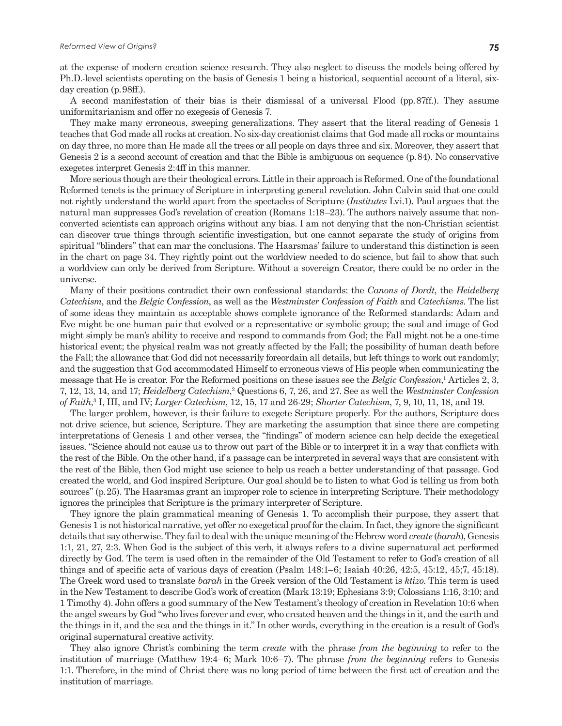Ph.D.-level scientists operating on the basis of Genesis 1 being a historical, sequential account of a literal, sixday creation (p. 98ff.).

A second manifestation of their bias is their dismissal of a universal Flood (pp. 87ff.). They assume uniformitarianism and offer no exegesis of Genesis 7.

They make many erroneous, sweeping generalizations. They assert that the literal reading of Genesis 1 teaches that God made all rocks at creation. No six-day creationist claims that God made all rocks or mountains on day three, no more than He made all the trees or all people on days three and six. Moreover, they assert that Genesis 2 is a second account of creation and that the Bible is ambiguous on sequence (p. 84). No conservative exegetes interpret Genesis 2:4ff in this manner.

More serious though are their theological errors. Little in their approach is Reformed. One of the foundational Reformed tenets is the primacy of Scripture in interpreting general revelation. John Calvin said that one could not rightly understand the world apart from the spectacles of Scripture (*Institutes* I.vi.1). Paul argues that the natural man suppresses God's revelation of creation (Romans 1:18–23). The authors naively assume that nonconverted scientists can approach origins without any bias. I am not denying that the non-Christian scientist can discover true things through scientific investigation, but one cannot separate the study of origins from spiritual "blinders" that can mar the conclusions. The Haarsmas' failure to understand this distinction is seen in the chart on page 34. They rightly point out the worldview needed to do science, but fail to show that such a worldview can only be derived from Scripture. Without a sovereign Creator, there could be no order in the universe.

Many of their positions contradict their own confessional standards: the *Canons of Dordt*, the *Heidelberg Catechism*, and the *Belgic Confession*, as well as the *Westminster Confession of Faith* and *Catechisms*. The list of some ideas they maintain as acceptable shows complete ignorance of the Reformed standards: Adam and Eve might be one human pair that evolved or a representative or symbolic group; the soul and image of God might simply be man's ability to receive and respond to commands from God; the Fall might not be a one-time historical event; the physical realm was not greatly affected by the Fall; the possibility of human death before the Fall; the allowance that God did not necessarily foreordain all details, but left things to work out randomly; and the suggestion that God accommodated Himself to erroneous views of His people when communicating the message that He is creator. For the Reformed positions on these issues see the *Belgic Confession*,<sup>1</sup> Articles 2, 3, 7, 12, 13, 14, and 17; *Heidelberg Catechism*, 2 Questions 6, 7, 26, and 27. See as well the *Westminster Confession of Faith*, 3 I, III, and IV; *Larger Catechism*, 12, 15, 17 and 26-29; *Shorter Catechism*, 7, 9, 10, 11, 18, and 19.

The larger problem, however, is their failure to exegete Scripture properly. For the authors, Scripture does not drive science, but science, Scripture. They are marketing the assumption that since there are competing interpretations of Genesis 1 and other verses, the "findings" of modern science can help decide the exegetical issues. "Science should not cause us to throw out part of the Bible or to interpret it in a way that conflicts with the rest of the Bible. On the other hand, if a passage can be interpreted in several ways that are consistent with the rest of the Bible, then God might use science to help us reach a better understanding of that passage. God created the world, and God inspired Scripture. Our goal should be to listen to what God is telling us from both sources" (p. 25). The Haarsmas grant an improper role to science in interpreting Scripture. Their methodology ignores the principles that Scripture is the primary interpreter of Scripture.

They ignore the plain grammatical meaning of Genesis 1. To accomplish their purpose, they assert that Genesis 1 is not historical narrative, yet offer no exegetical proof for the claim. In fact, they ignore the significant details that say otherwise. They fail to deal with the unique meaning of the Hebrew word *create* (*barah*), Genesis 1:1, 21, 27, 2:3. When God is the subject of this verb, it always refers to a divine supernatural act performed directly by God. The term is used often in the remainder of the Old Testament to refer to God's creation of all things and of specific acts of various days of creation (Psalm 148:1–6; Isaiah 40:26, 42:5, 45:12, 45;7, 45:18). The Greek word used to translate *barah* in the Greek version of the Old Testament is *ktizo*. This term is used in the New Testament to describe God's work of creation (Mark 13:19; Ephesians 3:9; Colossians 1:16, 3:10; and 1 Timothy 4). John offers a good summary of the New Testament's theology of creation in Revelation 10:6 when the angel swears by God "who lives forever and ever, who created heaven and the things in it, and the earth and the things in it, and the sea and the things in it." In other words, everything in the creation is a result of God's original supernatural creative activity.

They also ignore Christ's combining the term *create* with the phrase *from the beginning* to refer to the institution of marriage (Matthew 19:4–6; Mark 10:6–7). The phrase *from the beginning* refers to Genesis 1:1. Therefore, in the mind of Christ there was no long period of time between the first act of creation and the institution of marriage.